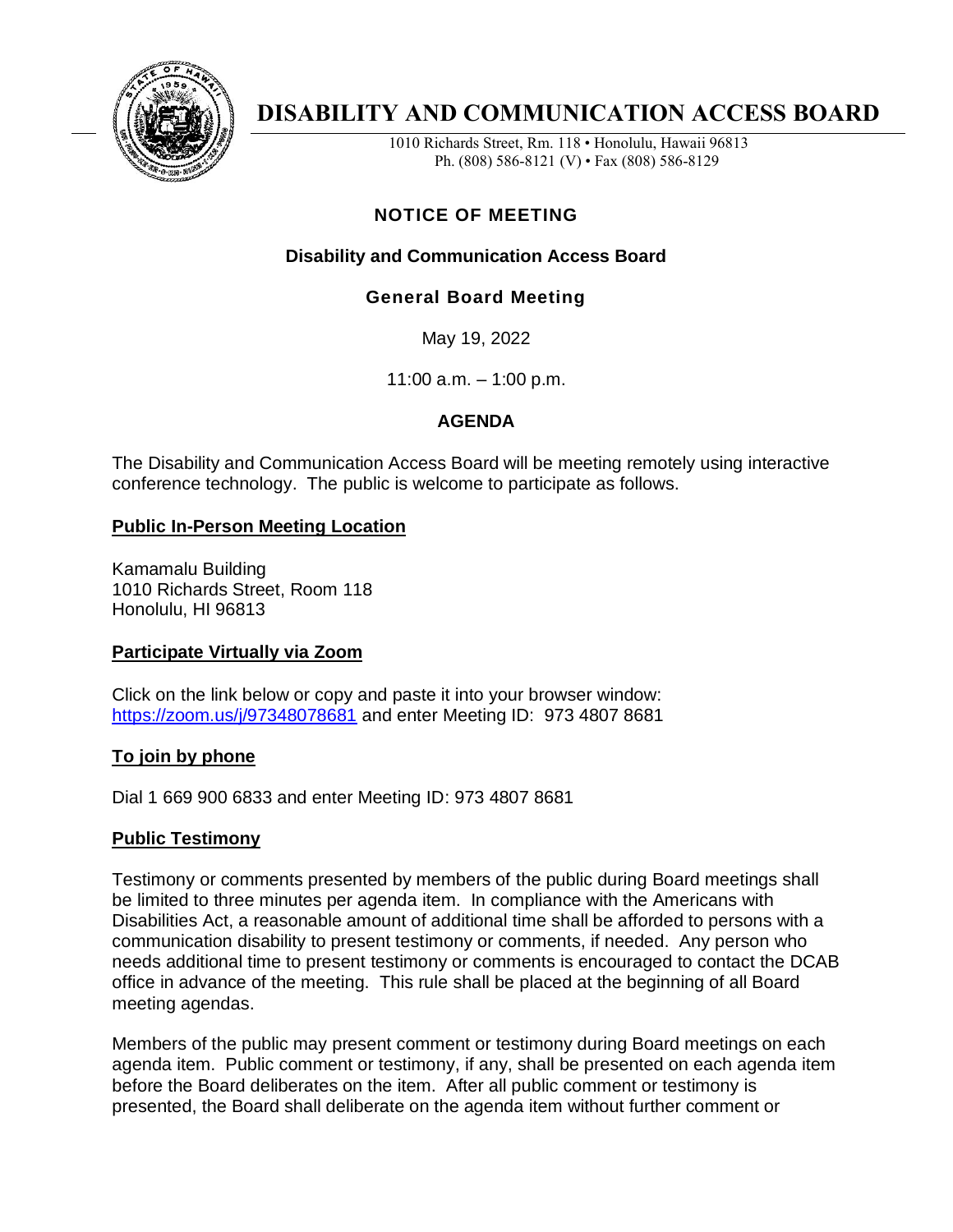

# **DISABILITY AND COMMUNICATION ACCESS BOARD**

1010 Richards Street, Rm. 118 • Honolulu, Hawaii 96813 Ph. (808) 586-8121 (V) • Fax (808) 586-8129

## **NOTICE OF MEETING**

## **Disability and Communication Access Board**

## **General Board Meeting**

May 19, 2022

11:00 a.m. – 1:00 p.m.

### **AGENDA**

The Disability and Communication Access Board will be meeting remotely using interactive conference technology. The public is welcome to participate as follows.

#### **Public In-Person Meeting Location**

Kamamalu Building 1010 Richards Street, Room 118 Honolulu, HI 96813

#### **Participate Virtually via Zoom**

Click on the link below or copy and paste it into your browser window: <https://zoom.us/j/97348078681> and enter Meeting ID: 973 4807 8681

#### **To join by phone**

Dial 1 669 900 6833 and enter Meeting ID: 973 4807 8681

#### **Public Testimony**

Testimony or comments presented by members of the public during Board meetings shall be limited to three minutes per agenda item. In compliance with the Americans with Disabilities Act, a reasonable amount of additional time shall be afforded to persons with a communication disability to present testimony or comments, if needed. Any person who needs additional time to present testimony or comments is encouraged to contact the DCAB office in advance of the meeting. This rule shall be placed at the beginning of all Board meeting agendas.

Members of the public may present comment or testimony during Board meetings on each agenda item. Public comment or testimony, if any, shall be presented on each agenda item before the Board deliberates on the item. After all public comment or testimony is presented, the Board shall deliberate on the agenda item without further comment or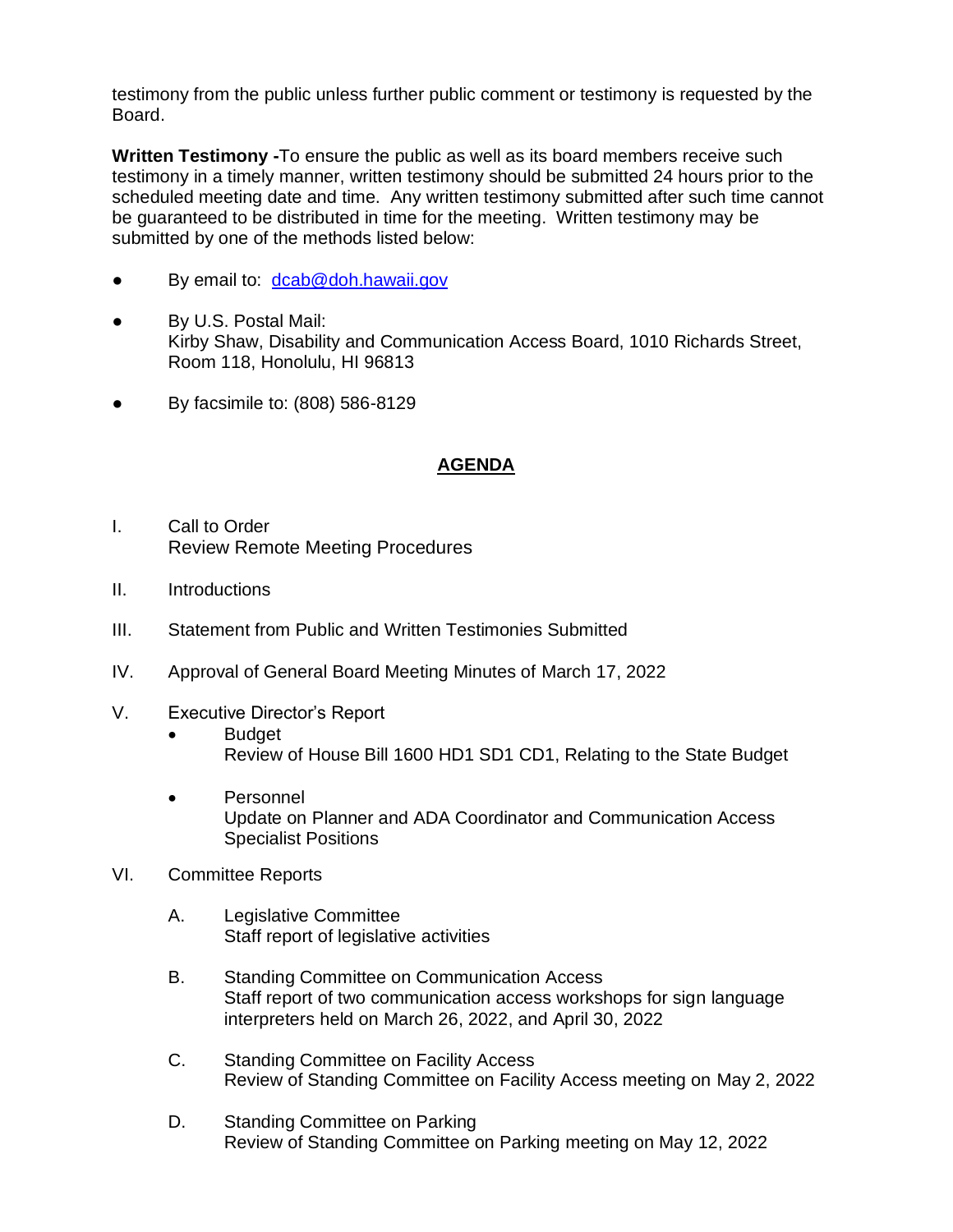testimony from the public unless further public comment or testimony is requested by the Board.

**Written Testimony -**To ensure the public as well as its board members receive such testimony in a timely manner, written testimony should be submitted 24 hours prior to the scheduled meeting date and time. Any written testimony submitted after such time cannot be guaranteed to be distributed in time for the meeting. Written testimony may be submitted by one of the methods listed below:

- By email to: [dcab@doh.hawaii.gov](mailto:dcab@doh.hawaii.gov)
- By U.S. Postal Mail: Kirby Shaw, Disability and Communication Access Board, 1010 Richards Street, Room 118, Honolulu, HI 96813
- By facsimile to: (808) 586-8129

#### **AGENDA**

- I. Call to Order Review Remote Meeting Procedures
- II. Introductions
- III. Statement from Public and Written Testimonies Submitted
- IV. Approval of General Board Meeting Minutes of March 17, 2022
- V. Executive Director's Report
	- Budget Review of House Bill 1600 HD1 SD1 CD1, Relating to the State Budget
	- Personnel Update on Planner and ADA Coordinator and Communication Access Specialist Positions
- VI. Committee Reports
	- A. Legislative Committee Staff report of legislative activities
	- B. Standing Committee on Communication Access Staff report of two communication access workshops for sign language interpreters held on March 26, 2022, and April 30, 2022
	- C. Standing Committee on Facility Access Review of Standing Committee on Facility Access meeting on May 2, 2022
	- D. Standing Committee on Parking Review of Standing Committee on Parking meeting on May 12, 2022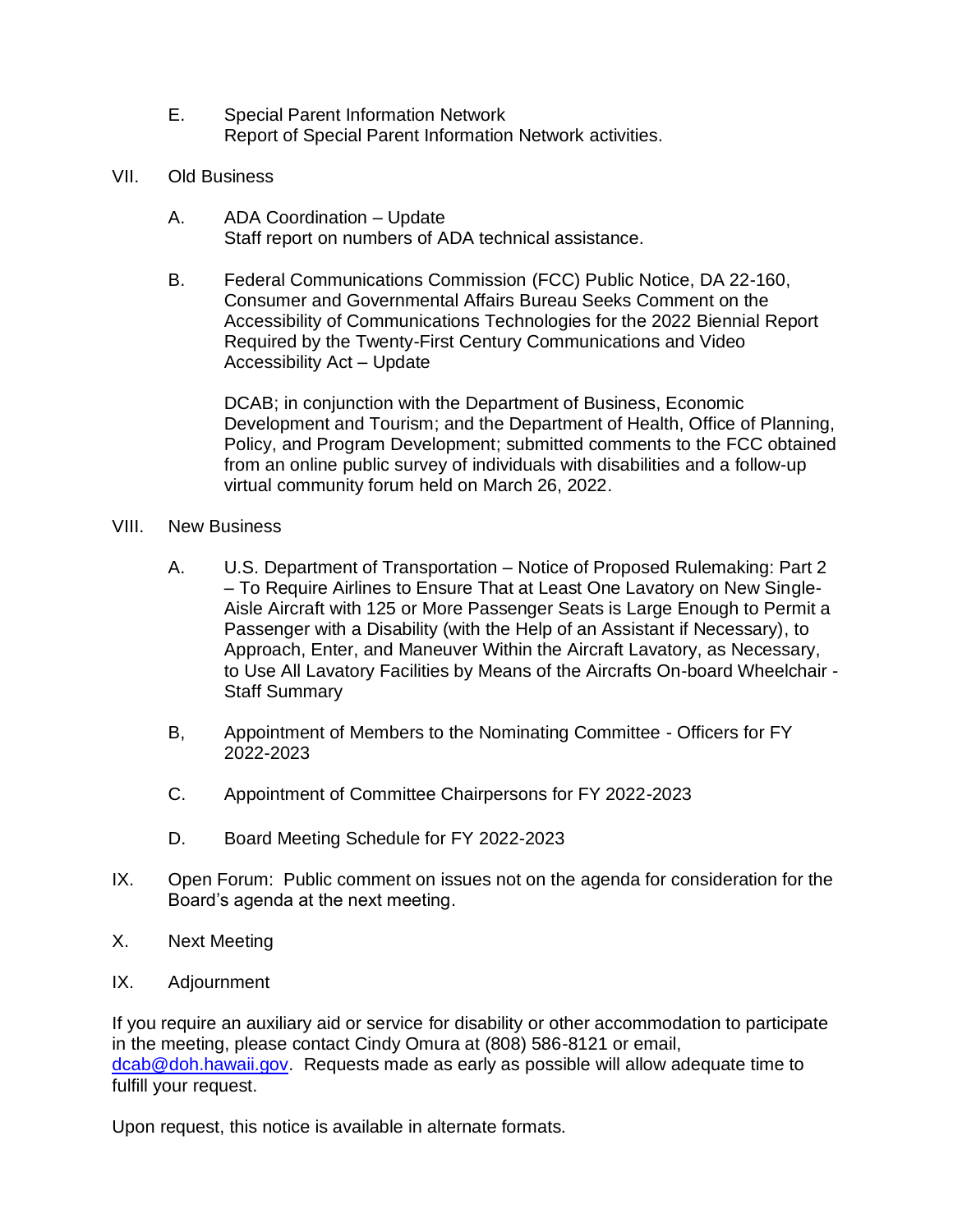- E. Special Parent Information Network Report of Special Parent Information Network activities.
- VII. Old Business
	- A. ADA Coordination Update Staff report on numbers of ADA technical assistance.
	- B. Federal Communications Commission (FCC) Public Notice, DA 22-160, Consumer and Governmental Affairs Bureau Seeks Comment on the Accessibility of Communications Technologies for the 2022 Biennial Report Required by the Twenty-First Century Communications and Video Accessibility Act – Update

DCAB; in conjunction with the Department of Business, Economic Development and Tourism; and the Department of Health, Office of Planning, Policy, and Program Development; submitted comments to the FCC obtained from an online public survey of individuals with disabilities and a follow-up virtual community forum held on March 26, 2022.

- VIII. New Business
	- A. U.S. Department of Transportation Notice of Proposed Rulemaking: Part 2 – To Require Airlines to Ensure That at Least One Lavatory on New Single-Aisle Aircraft with 125 or More Passenger Seats is Large Enough to Permit a Passenger with a Disability (with the Help of an Assistant if Necessary), to Approach, Enter, and Maneuver Within the Aircraft Lavatory, as Necessary, to Use All Lavatory Facilities by Means of the Aircrafts On-board Wheelchair - Staff Summary
	- B, Appointment of Members to the Nominating Committee Officers for FY 2022-2023
	- C. Appointment of Committee Chairpersons for FY 2022-2023
	- D. Board Meeting Schedule for FY 2022-2023
- IX. Open Forum: Public comment on issues not on the agenda for consideration for the Board's agenda at the next meeting.
- X. Next Meeting
- IX. Adjournment

If you require an auxiliary aid or service for disability or other accommodation to participate in the meeting, please contact Cindy Omura at (808) 586-8121 or email, [dcab@doh.hawaii.gov.](mailto:dcab@doh.hawaii.gov) Requests made as early as possible will allow adequate time to fulfill your request.

Upon request, this notice is available in alternate formats.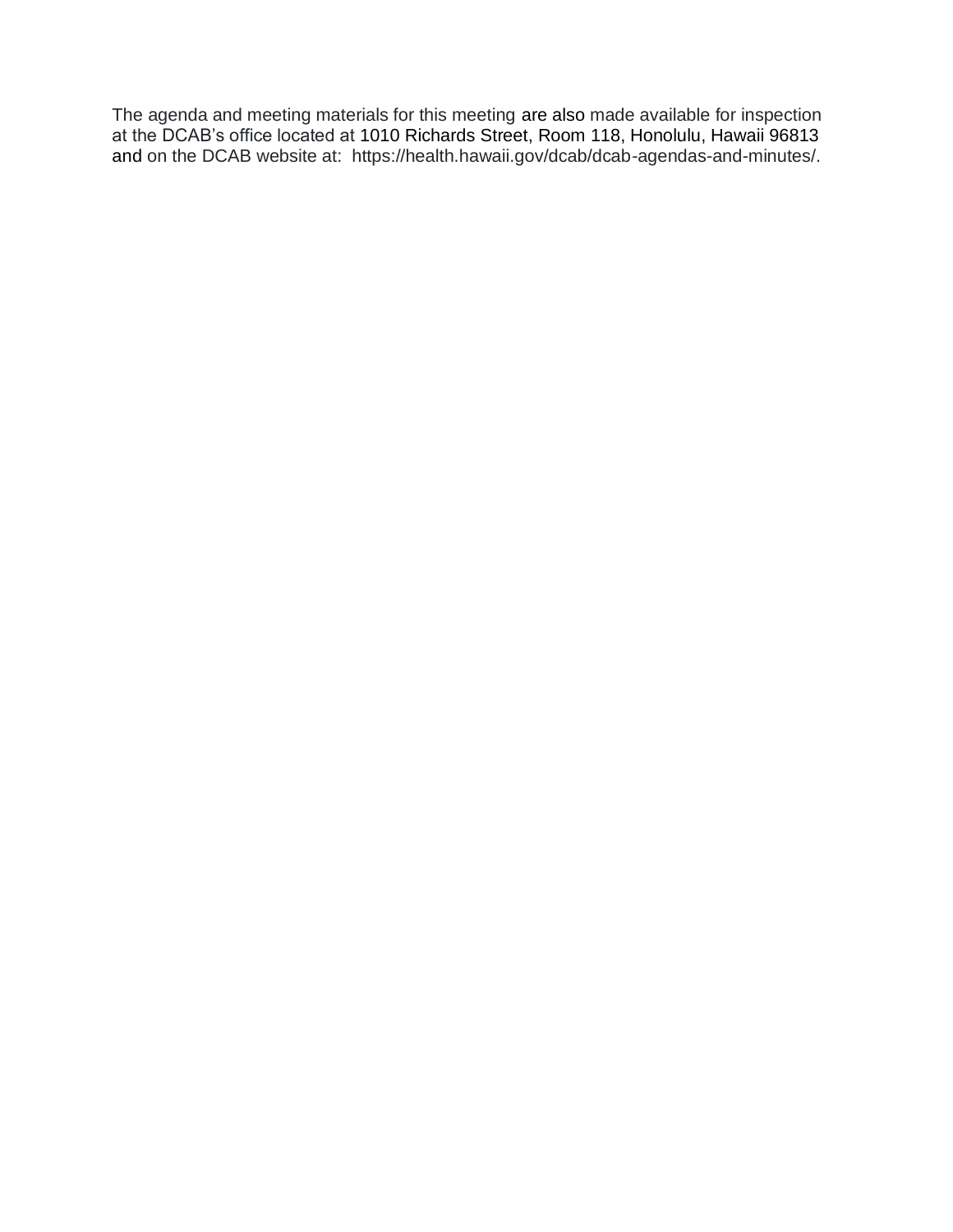The agenda and meeting materials for this meeting are also made available for inspection at the DCAB's office located at 1010 Richards Street, Room 118, Honolulu, Hawaii 96813 and on the DCAB website at: https://health.hawaii.gov/dcab/dcab-agendas-and-minutes/.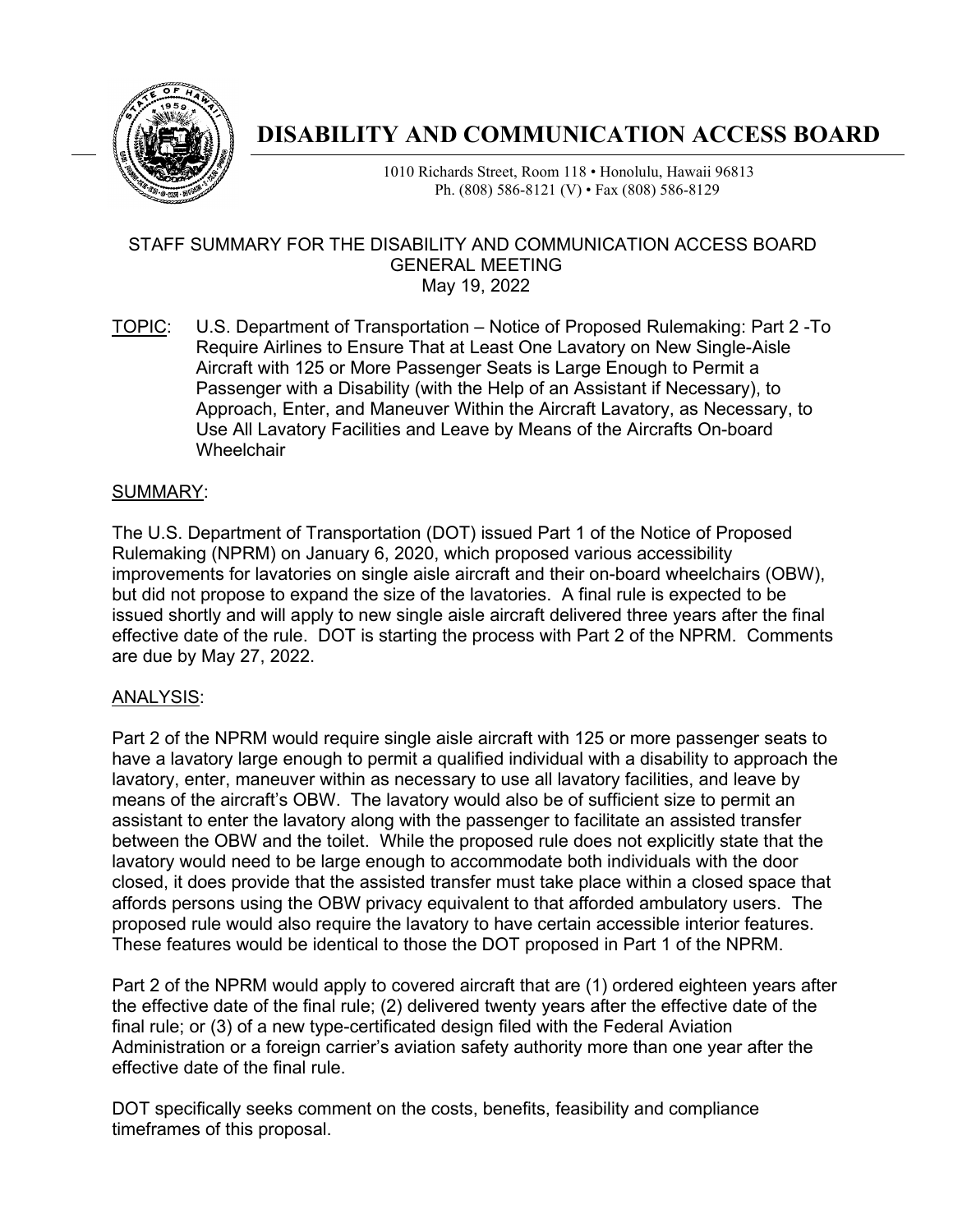

## **DISABILITY AND COMMUNICATION ACCESS BOARD**

1010 Richards Street, Room 118 • Honolulu, Hawaii 96813 Ph. (808) 586-8121 (V) • Fax (808) 586-8129

#### STAFF SUMMARY FOR THE DISABILITY AND COMMUNICATION ACCESS BOARD GENERAL MEETING May 19, 2022

TOPIC: U.S. Department of Transportation – Notice of Proposed Rulemaking: Part 2 -To Require Airlines to Ensure That at Least One Lavatory on New Single-Aisle Aircraft with 125 or More Passenger Seats is Large Enough to Permit a Passenger with a Disability (with the Help of an Assistant if Necessary), to Approach, Enter, and Maneuver Within the Aircraft Lavatory, as Necessary, to Use All Lavatory Facilities and Leave by Means of the Aircrafts On-board Wheelchair

#### SUMMARY:

The U.S. Department of Transportation (DOT) issued Part 1 of the Notice of Proposed Rulemaking (NPRM) on January 6, 2020, which proposed various accessibility improvements for lavatories on single aisle aircraft and their on-board wheelchairs (OBW), but did not propose to expand the size of the lavatories. A final rule is expected to be issued shortly and will apply to new single aisle aircraft delivered three years after the final effective date of the rule. DOT is starting the process with Part 2 of the NPRM. Comments are due by May 27, 2022.

#### ANALYSIS:

Part 2 of the NPRM would require single aisle aircraft with 125 or more passenger seats to have a lavatory large enough to permit a qualified individual with a disability to approach the lavatory, enter, maneuver within as necessary to use all lavatory facilities, and leave by means of the aircraft's OBW. The lavatory would also be of sufficient size to permit an assistant to enter the lavatory along with the passenger to facilitate an assisted transfer between the OBW and the toilet. While the proposed rule does not explicitly state that the lavatory would need to be large enough to accommodate both individuals with the door closed, it does provide that the assisted transfer must take place within a closed space that affords persons using the OBW privacy equivalent to that afforded ambulatory users. The proposed rule would also require the lavatory to have certain accessible interior features. These features would be identical to those the DOT proposed in Part 1 of the NPRM.

Part 2 of the NPRM would apply to covered aircraft that are (1) ordered eighteen years after the effective date of the final rule; (2) delivered twenty years after the effective date of the final rule; or (3) of a new type-certificated design filed with the Federal Aviation Administration or a foreign carrier's aviation safety authority more than one year after the effective date of the final rule.

DOT specifically seeks comment on the costs, benefits, feasibility and compliance timeframes of this proposal.